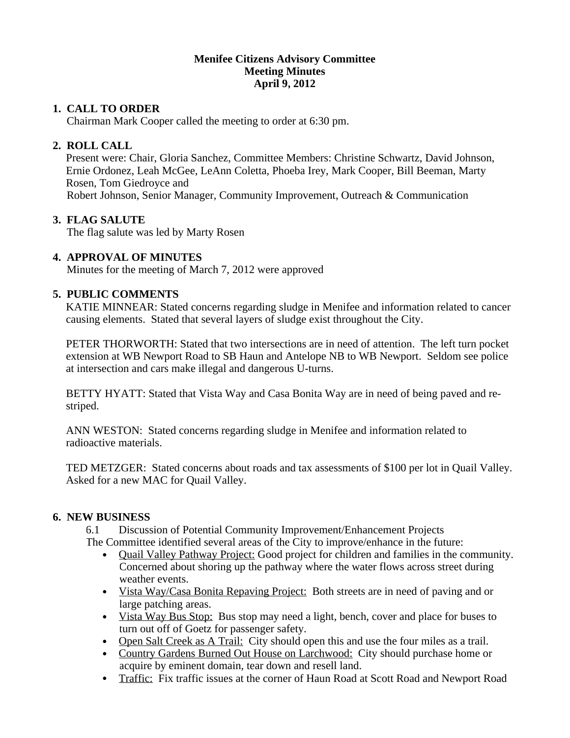#### **Menifee Citizens Advisory Committee Meeting Minutes April 9, 2012**

## **1. CALL TO ORDER**

Chairman Mark Cooper called the meeting to order at 6:30 pm.

# **2. ROLL CALL**

Present were: Chair, Gloria Sanchez, Committee Members: Christine Schwartz, David Johnson, Ernie Ordonez, Leah McGee, LeAnn Coletta, Phoeba Irey, Mark Cooper, Bill Beeman, Marty Rosen, Tom Giedroyce and Robert Johnson, Senior Manager, Community Improvement, Outreach & Communication

### **3. FLAG SALUTE**

The flag salute was led by Marty Rosen

# **4. APPROVAL OF MINUTES**

Minutes for the meeting of March 7, 2012 were approved

### **5. PUBLIC COMMENTS**

KATIE MINNEAR: Stated concerns regarding sludge in Menifee and information related to cancer causing elements. Stated that several layers of sludge exist throughout the City.

PETER THORWORTH: Stated that two intersections are in need of attention. The left turn pocket extension at WB Newport Road to SB Haun and Antelope NB to WB Newport. Seldom see police at intersection and cars make illegal and dangerous U-turns.

BETTY HYATT: Stated that Vista Way and Casa Bonita Way are in need of being paved and restriped.

ANN WESTON: Stated concerns regarding sludge in Menifee and information related to radioactive materials.

TED METZGER: Stated concerns about roads and tax assessments of \$100 per lot in Quail Valley. Asked for a new MAC for Quail Valley.

### **6. NEW BUSINESS**

6.1 Discussion of Potential Community Improvement/Enhancement Projects

The Committee identified several areas of the City to improve/enhance in the future:

- Quail Valley Pathway Project: Good project for children and families in the community. Concerned about shoring up the pathway where the water flows across street during weather events.
- Vista Way/Casa Bonita Repaving Project: Both streets are in need of paving and or large patching areas.
- Vista Way Bus Stop: Bus stop may need a light, bench, cover and place for buses to turn out off of Goetz for passenger safety.
- Open Salt Creek as A Trail: City should open this and use the four miles as a trail.
- Country Gardens Burned Out House on Larchwood: City should purchase home or acquire by eminent domain, tear down and resell land.
- Traffic: Fix traffic issues at the corner of Haun Road at Scott Road and Newport Road